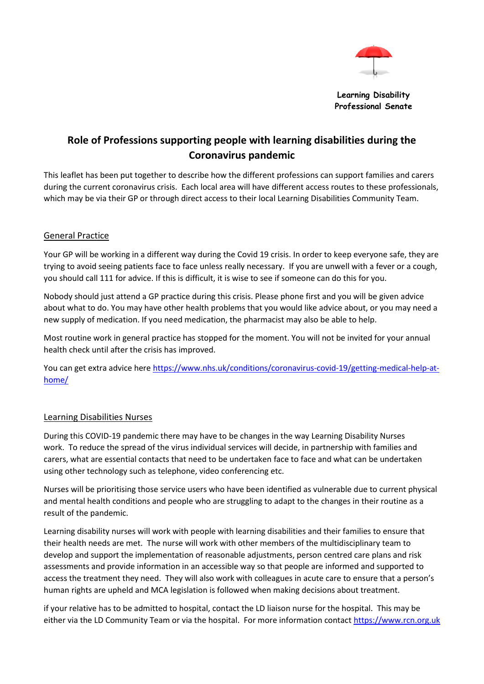

**Learning Disability Professional Senate**

# **Role of Professions supporting people with learning disabilities during the Coronavirus pandemic**

This leaflet has been put together to describe how the different professions can support families and carers during the current coronavirus crisis. Each local area will have different access routes to these professionals, which may be via their GP or through direct access to their local Learning Disabilities Community Team.

### General Practice

Your GP will be working in a different way during the Covid 19 crisis. In order to keep everyone safe, they are trying to avoid seeing patients face to face unless really necessary. If you are unwell with a fever or a cough, you should call 111 for advice. If this is difficult, it is wise to see if someone can do this for you.

Nobody should just attend a GP practice during this crisis. Please phone first and you will be given advice about what to do. You may have other health problems that you would like advice about, or you may need a new supply of medication. If you need medication, the pharmacist may also be able to help.

Most routine work in general practice has stopped for the moment. You will not be invited for your annual health check until after the crisis has improved.

You can get extra advice here [https://www.nhs.uk/conditions/coronavirus-covid-19/getting-medical-help-at](https://www.nhs.uk/conditions/coronavirus-covid-19/getting-medical-help-at-home/)[home/](https://www.nhs.uk/conditions/coronavirus-covid-19/getting-medical-help-at-home/)

### Learning Disabilities Nurses

During this COVID-19 pandemic there may have to be changes in the way Learning Disability Nurses work. To reduce the spread of the virus individual services will decide, in partnership with families and carers, what are essential contacts that need to be undertaken face to face and what can be undertaken using other technology such as telephone, video conferencing etc.

Nurses will be prioritising those service users who have been identified as vulnerable due to current physical and mental health conditions and people who are struggling to adapt to the changes in their routine as a result of the pandemic.

Learning disability nurses will work with people with learning disabilities and their families to ensure that their health needs are met. The nurse will work with other members of the multidisciplinary team to develop and support the implementation of reasonable adjustments, person centred care plans and risk assessments and provide information in an accessible way so that people are informed and supported to access the treatment they need. They will also work with colleagues in acute care to ensure that a person's human rights are upheld and MCA legislation is followed when making decisions about treatment.

if your relative has to be admitted to hospital, contact the LD liaison nurse for the hospital. This may be either via the LD Community Team or via the hospital. For more information contact [https://www.rcn.org.uk](https://www.rcn.org.uk/)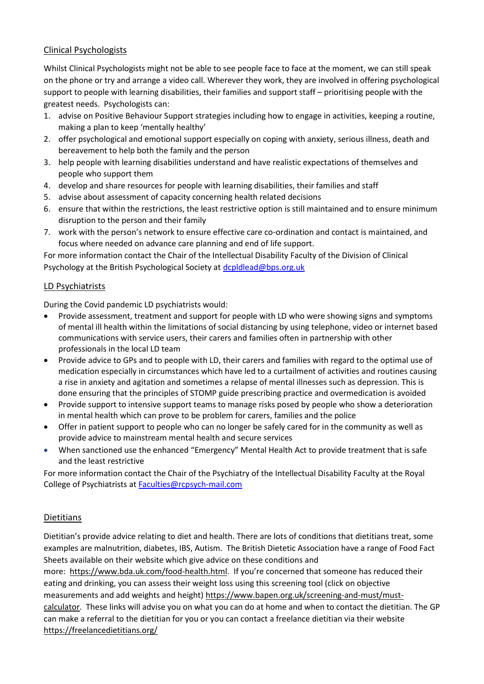# Clinical Psychologists

Whilst Clinical Psychologists might not be able to see people face to face at the moment, we can still speak on the phone or try and arrange a video call. Wherever they work, they are involved in offering psychological support to people with learning disabilities, their families and support staff – prioritising people with the greatest needs. Psychologists can:

- 1. advise on Positive Behaviour Support strategies including how to engage in activities, keeping a routine, making a plan to keep 'mentally healthy'
- 2. offer psychological and emotional support especially on coping with anxiety, serious illness, death and bereavement to help both the family and the person
- 3. help people with learning disabilities understand and have realistic expectations of themselves and people who support them
- 4. develop and share resources for people with learning disabilities, their families and staff
- 5. advise about assessment of capacity concerning health related decisions
- 6. ensure that within the restrictions, the least restrictive option is still maintained and to ensure minimum disruption to the person and their family
- 7. work with the person's network to ensure effective care co-ordination and contact is maintained, and focus where needed on advance care planning and end of life support.

For more information contact the Chair of the Intellectual Disability Faculty of the Division of Clinical Psychology at the British Psychological Society at [dcpldlead@bps.org.uk](mailto:dcpldlead@bps.org.uk)

### LD Psychiatrists

During the Covid pandemic LD psychiatrists would:

- Provide assessment, treatment and support for people with LD who were showing signs and symptoms of mental ill health within the limitations of social distancing by using telephone, video or internet based communications with service users, their carers and families often in partnership with other professionals in the local LD team
- Provide advice to GPs and to people with LD, their carers and families with regard to the optimal use of medication especially in circumstances which have led to a curtailment of activities and routines causing a rise in anxiety and agitation and sometimes a relapse of mental illnesses such as depression. This is done ensuring that the principles of STOMP guide prescribing practice and overmedication is avoided
- Provide support to intensive support teams to manage risks posed by people who show a deterioration in mental health which can prove to be problem for carers, families and the police
- Offer in patient support to people who can no longer be safely cared for in the community as well as provide advice to mainstream mental health and secure services
- When sanctioned use the enhanced "Emergency" Mental Health Act to provide treatment that is safe and the least restrictive

For more information contact the Chair of the Psychiatry of the Intellectual Disability Faculty at the Royal College of Psychiatrists at [Faculties@rcpsych-mail.com](mailto:Faculties@rcpsych-mail.com)

# Dietitians

Dietitian's provide advice relating to diet and health. There are lots of conditions that dietitians treat, some examples are malnutrition, diabetes, IBS, Autism. The British Dietetic Association have a range of Food Fact Sheets available on their website which give advice on these conditions and

more: [https://www.bda.uk.com/food-health.html.](https://www.bda.uk.com/food-health.html) If you're concerned that someone has reduced their eating and drinking, you can assess their weight loss using this screening tool (click on objective measurements and add weights and height) [https://www.bapen.org.uk/screening-and-must/must](https://www.bapen.org.uk/screening-and-must/must-calculator)[calculator.](https://www.bapen.org.uk/screening-and-must/must-calculator) These links will advise you on what you can do at home and when to contact the dietitian. The GP can make a referral to the dietitian for you or you can contact a freelance dietitian via their website <https://freelancedietitians.org/>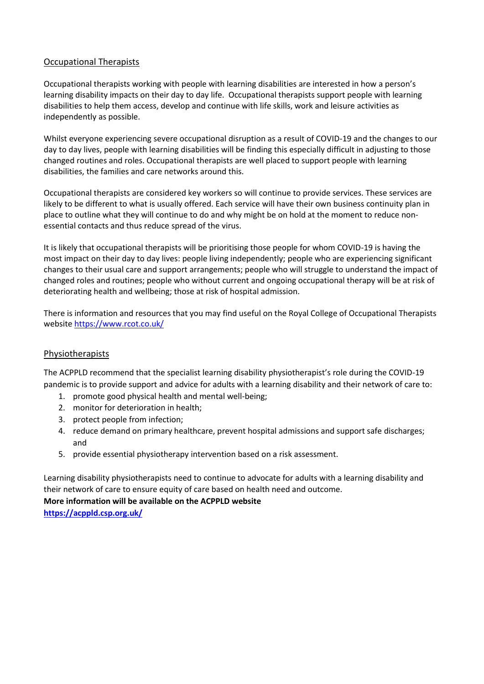### Occupational Therapists

Occupational therapists working with people with learning disabilities are interested in how a person's learning disability impacts on their day to day life. Occupational therapists support people with learning disabilities to help them access, develop and continue with life skills, work and leisure activities as independently as possible.

Whilst everyone experiencing severe occupational disruption as a result of COVID-19 and the changes to our day to day lives, people with learning disabilities will be finding this especially difficult in adjusting to those changed routines and roles. Occupational therapists are well placed to support people with learning disabilities, the families and care networks around this.

Occupational therapists are considered key workers so will continue to provide services. These services are likely to be different to what is usually offered. Each service will have their own business continuity plan in place to outline what they will continue to do and why might be on hold at the moment to reduce nonessential contacts and thus reduce spread of the virus.

It is likely that occupational therapists will be prioritising those people for whom COVID-19 is having the most impact on their day to day lives: people living independently; people who are experiencing significant changes to their usual care and support arrangements; people who will struggle to understand the impact of changed roles and routines; people who without current and ongoing occupational therapy will be at risk of deteriorating health and wellbeing; those at risk of hospital admission.

There is information and resources that you may find useful on the Royal College of Occupational Therapists websit[e https://www.rcot.co.uk/](https://www.rcot.co.uk/) 

### Physiotherapists

The ACPPLD recommend that the specialist learning disability physiotherapist's role during the COVID-19 pandemic is to provide support and advice for adults with a learning disability and their network of care to:

- 1. promote good physical health and mental well-being;
- 2. monitor for deterioration in health;
- 3. protect people from infection;
- 4. reduce demand on primary healthcare, prevent hospital admissions and support safe discharges; and
- 5. provide essential physiotherapy intervention based on a risk assessment.

Learning disability physiotherapists need to continue to advocate for adults with a learning disability and their network of care to ensure equity of care based on health need and outcome.

**More information will be available on the ACPPLD website** 

**<https://acppld.csp.org.uk/>**